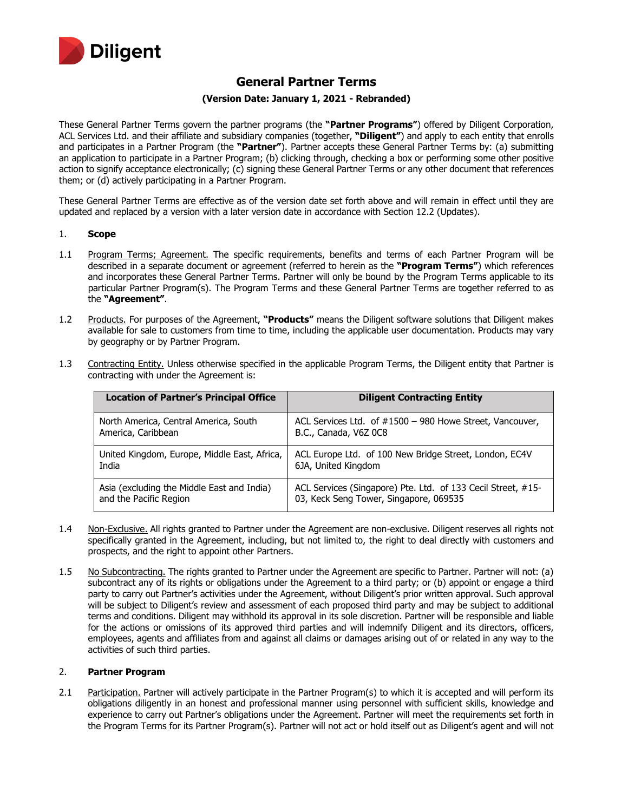

# **General Partner Terms**

## **(Version Date: January 1, 2021 - Rebranded)**

These General Partner Terms govern the partner programs (the **"Partner Programs"**) offered by Diligent Corporation, ACL Services Ltd. and their affiliate and subsidiary companies (together, **"Diligent"**) and apply to each entity that enrolls and participates in a Partner Program (the **"Partner"**). Partner accepts these General Partner Terms by: (a) submitting an application to participate in a Partner Program; (b) clicking through, checking a box or performing some other positive action to signify acceptance electronically; (c) signing these General Partner Terms or any other document that references them; or (d) actively participating in a Partner Program.

These General Partner Terms are effective as of the version date set forth above and will remain in effect until they are updated and replaced by a version with a later version date in accordance with Section 12.2 (Updates).

#### 1. **Scope**

- 1.1 Program Terms; Agreement. The specific requirements, benefits and terms of each Partner Program will be described in a separate document or agreement (referred to herein as the **"Program Terms"**) which references and incorporates these General Partner Terms. Partner will only be bound by the Program Terms applicable to its particular Partner Program(s). The Program Terms and these General Partner Terms are together referred to as the **"Agreement"**.
- 1.2 Products. For purposes of the Agreement, **"Products"** means the Diligent software solutions that Diligent makes available for sale to customers from time to time, including the applicable user documentation. Products may vary by geography or by Partner Program.

| <b>Location of Partner's Principal Office</b> | <b>Diligent Contracting Entity</b>                           |
|-----------------------------------------------|--------------------------------------------------------------|
| North America, Central America, South         | ACL Services Ltd. of #1500 - 980 Howe Street, Vancouver,     |
| America, Caribbean                            | B.C., Canada, V6Z 0C8                                        |
| United Kingdom, Europe, Middle East, Africa,  | ACL Europe Ltd. of 100 New Bridge Street, London, EC4V       |
| India                                         | 6JA, United Kingdom                                          |
| Asia (excluding the Middle East and India)    | ACL Services (Singapore) Pte. Ltd. of 133 Cecil Street, #15- |
| and the Pacific Region                        | 03, Keck Seng Tower, Singapore, 069535                       |

1.3 Contracting Entity. Unless otherwise specified in the applicable Program Terms, the Diligent entity that Partner is contracting with under the Agreement is:

- 1.4 Non-Exclusive. All rights granted to Partner under the Agreement are non-exclusive. Diligent reserves all rights not specifically granted in the Agreement, including, but not limited to, the right to deal directly with customers and prospects, and the right to appoint other Partners.
- 1.5 No Subcontracting. The rights granted to Partner under the Agreement are specific to Partner. Partner will not: (a) subcontract any of its rights or obligations under the Agreement to a third party; or (b) appoint or engage a third party to carry out Partner's activities under the Agreement, without Diligent's prior written approval. Such approval will be subject to Diligent's review and assessment of each proposed third party and may be subject to additional terms and conditions. Diligent may withhold its approval in its sole discretion. Partner will be responsible and liable for the actions or omissions of its approved third parties and will indemnify Diligent and its directors, officers, employees, agents and affiliates from and against all claims or damages arising out of or related in any way to the activities of such third parties.

## 2. **Partner Program**

2.1 Participation. Partner will actively participate in the Partner Program(s) to which it is accepted and will perform its obligations diligently in an honest and professional manner using personnel with sufficient skills, knowledge and experience to carry out Partner's obligations under the Agreement. Partner will meet the requirements set forth in the Program Terms for its Partner Program(s). Partner will not act or hold itself out as Diligent's agent and will not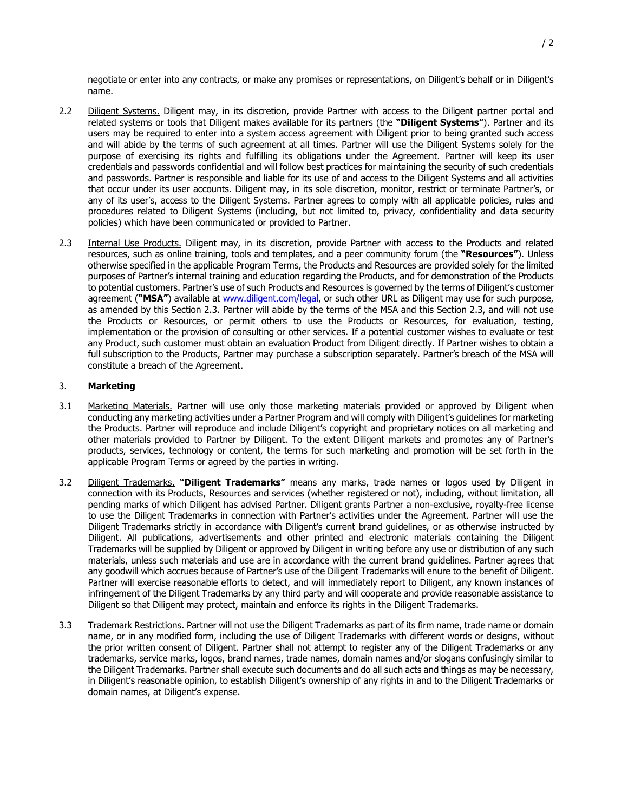negotiate or enter into any contracts, or make any promises or representations, on Diligent's behalf or in Diligent's name.

- 2.2 Diligent Systems. Diligent may, in its discretion, provide Partner with access to the Diligent partner portal and related systems or tools that Diligent makes available for its partners (the **"Diligent Systems"**). Partner and its users may be required to enter into a system access agreement with Diligent prior to being granted such access and will abide by the terms of such agreement at all times. Partner will use the Diligent Systems solely for the purpose of exercising its rights and fulfilling its obligations under the Agreement. Partner will keep its user credentials and passwords confidential and will follow best practices for maintaining the security of such credentials and passwords. Partner is responsible and liable for its use of and access to the Diligent Systems and all activities that occur under its user accounts. Diligent may, in its sole discretion, monitor, restrict or terminate Partner's, or any of its user's, access to the Diligent Systems. Partner agrees to comply with all applicable policies, rules and procedures related to Diligent Systems (including, but not limited to, privacy, confidentiality and data security policies) which have been communicated or provided to Partner.
- 2.3 Internal Use Products. Diligent may, in its discretion, provide Partner with access to the Products and related resources, such as online training, tools and templates, and a peer community forum (the **"Resources"**). Unless otherwise specified in the applicable Program Terms, the Products and Resources are provided solely for the limited purposes of Partner's internal training and education regarding the Products, and for demonstration of the Products to potential customers. Partner's use of such Products and Resources is governed by the terms of Diligent's customer agreement ("MSA") available at [www.diligent.com/legal,](http://www.diligent.com/legal) or such other URL as Diligent may use for such purpose, as amended by this Section 2.3. Partner will abide by the terms of the MSA and this Section 2.3, and will not use the Products or Resources, or permit others to use the Products or Resources, for evaluation, testing, implementation or the provision of consulting or other services. If a potential customer wishes to evaluate or test any Product, such customer must obtain an evaluation Product from Diligent directly. If Partner wishes to obtain a full subscription to the Products, Partner may purchase a subscription separately. Partner's breach of the MSA will constitute a breach of the Agreement.

# 3. **Marketing**

- 3.1 Marketing Materials. Partner will use only those marketing materials provided or approved by Diligent when conducting any marketing activities under a Partner Program and will comply with Diligent's guidelines for marketing the Products. Partner will reproduce and include Diligent's copyright and proprietary notices on all marketing and other materials provided to Partner by Diligent. To the extent Diligent markets and promotes any of Partner's products, services, technology or content, the terms for such marketing and promotion will be set forth in the applicable Program Terms or agreed by the parties in writing.
- 3.2 Diligent Trademarks. **"Diligent Trademarks"** means any marks, trade names or logos used by Diligent in connection with its Products, Resources and services (whether registered or not), including, without limitation, all pending marks of which Diligent has advised Partner. Diligent grants Partner a non-exclusive, royalty-free license to use the Diligent Trademarks in connection with Partner's activities under the Agreement. Partner will use the Diligent Trademarks strictly in accordance with Diligent's current brand guidelines, or as otherwise instructed by Diligent. All publications, advertisements and other printed and electronic materials containing the Diligent Trademarks will be supplied by Diligent or approved by Diligent in writing before any use or distribution of any such materials, unless such materials and use are in accordance with the current brand guidelines. Partner agrees that any goodwill which accrues because of Partner's use of the Diligent Trademarks will enure to the benefit of Diligent. Partner will exercise reasonable efforts to detect, and will immediately report to Diligent, any known instances of infringement of the Diligent Trademarks by any third party and will cooperate and provide reasonable assistance to Diligent so that Diligent may protect, maintain and enforce its rights in the Diligent Trademarks.
- 3.3 Trademark Restrictions. Partner will not use the Diligent Trademarks as part of its firm name, trade name or domain name, or in any modified form, including the use of Diligent Trademarks with different words or designs, without the prior written consent of Diligent. Partner shall not attempt to register any of the Diligent Trademarks or any trademarks, service marks, logos, brand names, trade names, domain names and/or slogans confusingly similar to the Diligent Trademarks. Partner shall execute such documents and do all such acts and things as may be necessary, in Diligent's reasonable opinion, to establish Diligent's ownership of any rights in and to the Diligent Trademarks or domain names, at Diligent's expense.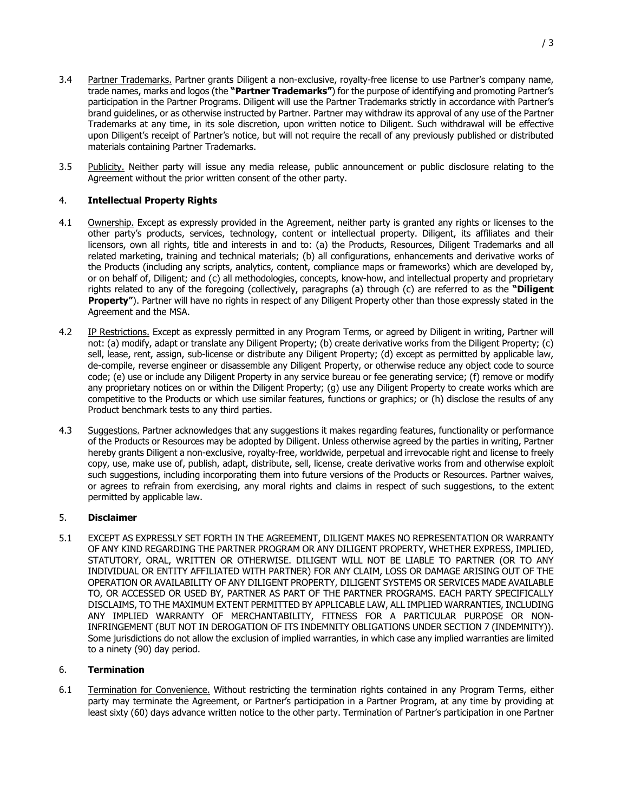- 3.4 Partner Trademarks. Partner grants Diligent a non-exclusive, royalty-free license to use Partner's company name, trade names, marks and logos (the **"Partner Trademarks"**) for the purpose of identifying and promoting Partner's participation in the Partner Programs. Diligent will use the Partner Trademarks strictly in accordance with Partner's brand guidelines, or as otherwise instructed by Partner. Partner may withdraw its approval of any use of the Partner Trademarks at any time, in its sole discretion, upon written notice to Diligent. Such withdrawal will be effective upon Diligent's receipt of Partner's notice, but will not require the recall of any previously published or distributed materials containing Partner Trademarks.
- 3.5 Publicity. Neither party will issue any media release, public announcement or public disclosure relating to the Agreement without the prior written consent of the other party.

# 4. **Intellectual Property Rights**

- 4.1 Ownership. Except as expressly provided in the Agreement, neither party is granted any rights or licenses to the other party's products, services, technology, content or intellectual property. Diligent, its affiliates and their licensors, own all rights, title and interests in and to: (a) the Products, Resources, Diligent Trademarks and all related marketing, training and technical materials; (b) all configurations, enhancements and derivative works of the Products (including any scripts, analytics, content, compliance maps or frameworks) which are developed by, or on behalf of, Diligent; and (c) all methodologies, concepts, know-how, and intellectual property and proprietary rights related to any of the foregoing (collectively, paragraphs (a) through (c) are referred to as the **"Diligent Property"**). Partner will have no rights in respect of any Diligent Property other than those expressly stated in the Agreement and the MSA.
- 4.2 IP Restrictions. Except as expressly permitted in any Program Terms, or agreed by Diligent in writing, Partner will not: (a) modify, adapt or translate any Diligent Property; (b) create derivative works from the Diligent Property; (c) sell, lease, rent, assign, sub-license or distribute any Diligent Property; (d) except as permitted by applicable law, de-compile, reverse engineer or disassemble any Diligent Property, or otherwise reduce any object code to source code; (e) use or include any Diligent Property in any service bureau or fee generating service; (f) remove or modify any proprietary notices on or within the Diligent Property; (g) use any Diligent Property to create works which are competitive to the Products or which use similar features, functions or graphics; or (h) disclose the results of any Product benchmark tests to any third parties.
- 4.3 Suggestions. Partner acknowledges that any suggestions it makes regarding features, functionality or performance of the Products or Resources may be adopted by Diligent. Unless otherwise agreed by the parties in writing, Partner hereby grants Diligent a non-exclusive, royalty-free, worldwide, perpetual and irrevocable right and license to freely copy, use, make use of, publish, adapt, distribute, sell, license, create derivative works from and otherwise exploit such suggestions, including incorporating them into future versions of the Products or Resources. Partner waives, or agrees to refrain from exercising, any moral rights and claims in respect of such suggestions, to the extent permitted by applicable law.

# 5. **Disclaimer**

5.1 EXCEPT AS EXPRESSLY SET FORTH IN THE AGREEMENT, DILIGENT MAKES NO REPRESENTATION OR WARRANTY OF ANY KIND REGARDING THE PARTNER PROGRAM OR ANY DILIGENT PROPERTY, WHETHER EXPRESS, IMPLIED, STATUTORY, ORAL, WRITTEN OR OTHERWISE. DILIGENT WILL NOT BE LIABLE TO PARTNER (OR TO ANY INDIVIDUAL OR ENTITY AFFILIATED WITH PARTNER) FOR ANY CLAIM, LOSS OR DAMAGE ARISING OUT OF THE OPERATION OR AVAILABILITY OF ANY DILIGENT PROPERTY, DILIGENT SYSTEMS OR SERVICES MADE AVAILABLE TO, OR ACCESSED OR USED BY, PARTNER AS PART OF THE PARTNER PROGRAMS. EACH PARTY SPECIFICALLY DISCLAIMS, TO THE MAXIMUM EXTENT PERMITTED BY APPLICABLE LAW, ALL IMPLIED WARRANTIES, INCLUDING ANY IMPLIED WARRANTY OF MERCHANTABILITY, FITNESS FOR A PARTICULAR PURPOSE OR NON-INFRINGEMENT (BUT NOT IN DEROGATION OF ITS INDEMNITY OBLIGATIONS UNDER SECTION 7 (INDEMNITY)). Some jurisdictions do not allow the exclusion of implied warranties, in which case any implied warranties are limited to a ninety (90) day period.

# 6. **Termination**

6.1 Termination for Convenience. Without restricting the termination rights contained in any Program Terms, either party may terminate the Agreement, or Partner's participation in a Partner Program, at any time by providing at least sixty (60) days advance written notice to the other party. Termination of Partner's participation in one Partner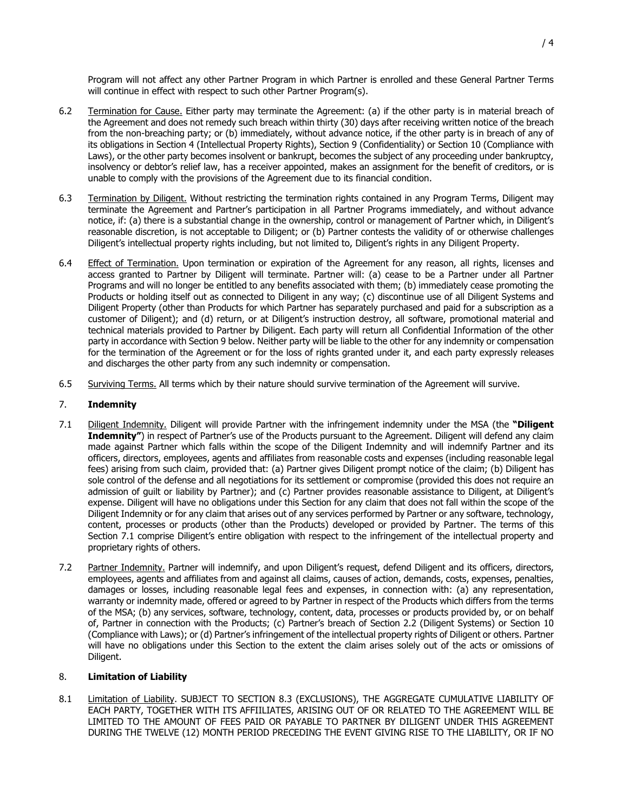Program will not affect any other Partner Program in which Partner is enrolled and these General Partner Terms will continue in effect with respect to such other Partner Program(s).

- 6.2 Termination for Cause. Either party may terminate the Agreement: (a) if the other party is in material breach of the Agreement and does not remedy such breach within thirty (30) days after receiving written notice of the breach from the non-breaching party; or (b) immediately, without advance notice, if the other party is in breach of any of its obligations in Section 4 (Intellectual Property Rights), Section 9 (Confidentiality) or Section 10 (Compliance with Laws), or the other party becomes insolvent or bankrupt, becomes the subject of any proceeding under bankruptcy, insolvency or debtor's relief law, has a receiver appointed, makes an assignment for the benefit of creditors, or is unable to comply with the provisions of the Agreement due to its financial condition.
- 6.3 Termination by Diligent. Without restricting the termination rights contained in any Program Terms, Diligent may terminate the Agreement and Partner's participation in all Partner Programs immediately, and without advance notice, if: (a) there is a substantial change in the ownership, control or management of Partner which, in Diligent's reasonable discretion, is not acceptable to Diligent; or (b) Partner contests the validity of or otherwise challenges Diligent's intellectual property rights including, but not limited to, Diligent's rights in any Diligent Property.
- 6.4 Effect of Termination. Upon termination or expiration of the Agreement for any reason, all rights, licenses and access granted to Partner by Diligent will terminate. Partner will: (a) cease to be a Partner under all Partner Programs and will no longer be entitled to any benefits associated with them; (b) immediately cease promoting the Products or holding itself out as connected to Diligent in any way; (c) discontinue use of all Diligent Systems and Diligent Property (other than Products for which Partner has separately purchased and paid for a subscription as a customer of Diligent); and (d) return, or at Diligent's instruction destroy, all software, promotional material and technical materials provided to Partner by Diligent. Each party will return all Confidential Information of the other party in accordance with Section 9 below. Neither party will be liable to the other for any indemnity or compensation for the termination of the Agreement or for the loss of rights granted under it, and each party expressly releases and discharges the other party from any such indemnity or compensation.
- 6.5 Surviving Terms. All terms which by their nature should survive termination of the Agreement will survive.

## 7. **Indemnity**

- 7.1 Diligent Indemnity. Diligent will provide Partner with the infringement indemnity under the MSA (the **"Diligent Indemnity"**) in respect of Partner's use of the Products pursuant to the Agreement. Diligent will defend any claim made against Partner which falls within the scope of the Diligent Indemnity and will indemnify Partner and its officers, directors, employees, agents and affiliates from reasonable costs and expenses (including reasonable legal fees) arising from such claim, provided that: (a) Partner gives Diligent prompt notice of the claim; (b) Diligent has sole control of the defense and all negotiations for its settlement or compromise (provided this does not require an admission of guilt or liability by Partner); and (c) Partner provides reasonable assistance to Diligent, at Diligent's expense. Diligent will have no obligations under this Section for any claim that does not fall within the scope of the Diligent Indemnity or for any claim that arises out of any services performed by Partner or any software, technology, content, processes or products (other than the Products) developed or provided by Partner. The terms of this Section 7.1 comprise Diligent's entire obligation with respect to the infringement of the intellectual property and proprietary rights of others.
- 7.2 Partner Indemnity. Partner will indemnify, and upon Diligent's request, defend Diligent and its officers, directors, employees, agents and affiliates from and against all claims, causes of action, demands, costs, expenses, penalties, damages or losses, including reasonable legal fees and expenses, in connection with: (a) any representation, warranty or indemnity made, offered or agreed to by Partner in respect of the Products which differs from the terms of the MSA; (b) any services, software, technology, content, data, processes or products provided by, or on behalf of, Partner in connection with the Products; (c) Partner's breach of Section 2.2 (Diligent Systems) or Section 10 (Compliance with Laws); or (d) Partner's infringement of the intellectual property rights of Diligent or others. Partner will have no obligations under this Section to the extent the claim arises solely out of the acts or omissions of Diligent.

#### 8. **Limitation of Liability**

8.1 Limitation of Liability. SUBJECT TO SECTION 8.3 (EXCLUSIONS), THE AGGREGATE CUMULATIVE LIABILITY OF EACH PARTY, TOGETHER WITH ITS AFFIILIATES, ARISING OUT OF OR RELATED TO THE AGREEMENT WILL BE LIMITED TO THE AMOUNT OF FEES PAID OR PAYABLE TO PARTNER BY DILIGENT UNDER THIS AGREEMENT DURING THE TWELVE (12) MONTH PERIOD PRECEDING THE EVENT GIVING RISE TO THE LIABILITY, OR IF NO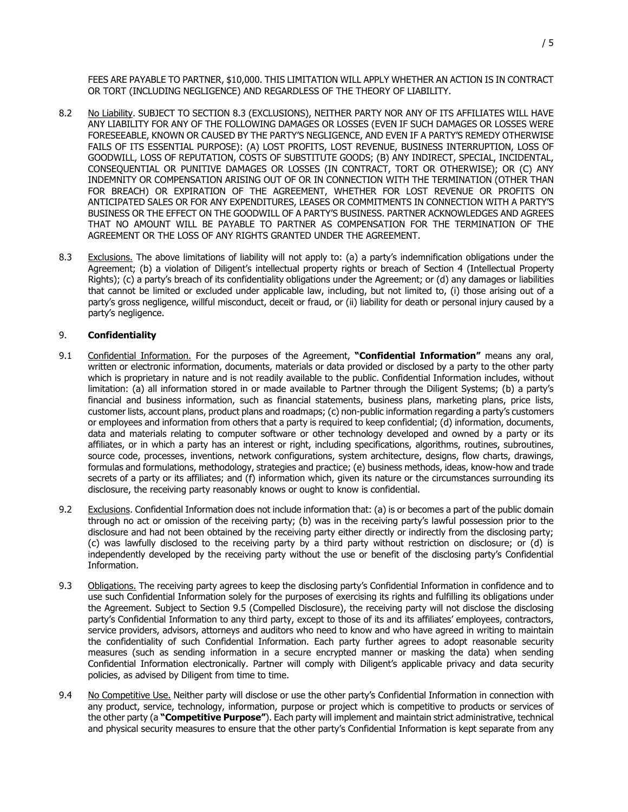FEES ARE PAYABLE TO PARTNER, \$10,000. THIS LIMITATION WILL APPLY WHETHER AN ACTION IS IN CONTRACT OR TORT (INCLUDING NEGLIGENCE) AND REGARDLESS OF THE THEORY OF LIABILITY.

- 8.2 No Liability. SUBJECT TO SECTION 8.3 (EXCLUSIONS), NEITHER PARTY NOR ANY OF ITS AFFILIATES WILL HAVE ANY LIABILITY FOR ANY OF THE FOLLOWING DAMAGES OR LOSSES (EVEN IF SUCH DAMAGES OR LOSSES WERE FORESEEABLE, KNOWN OR CAUSED BY THE PARTY'S NEGLIGENCE, AND EVEN IF A PARTY'S REMEDY OTHERWISE FAILS OF ITS ESSENTIAL PURPOSE): (A) LOST PROFITS, LOST REVENUE, BUSINESS INTERRUPTION, LOSS OF GOODWILL, LOSS OF REPUTATION, COSTS OF SUBSTITUTE GOODS; (B) ANY INDIRECT, SPECIAL, INCIDENTAL, CONSEQUENTIAL OR PUNITIVE DAMAGES OR LOSSES (IN CONTRACT, TORT OR OTHERWISE); OR (C) ANY INDEMNITY OR COMPENSATION ARISING OUT OF OR IN CONNECTION WITH THE TERMINATION (OTHER THAN FOR BREACH) OR EXPIRATION OF THE AGREEMENT, WHETHER FOR LOST REVENUE OR PROFITS ON ANTICIPATED SALES OR FOR ANY EXPENDITURES, LEASES OR COMMITMENTS IN CONNECTION WITH A PARTY'S BUSINESS OR THE EFFECT ON THE GOODWILL OF A PARTY'S BUSINESS. PARTNER ACKNOWLEDGES AND AGREES THAT NO AMOUNT WILL BE PAYABLE TO PARTNER AS COMPENSATION FOR THE TERMINATION OF THE AGREEMENT OR THE LOSS OF ANY RIGHTS GRANTED UNDER THE AGREEMENT.
- 8.3 Exclusions. The above limitations of liability will not apply to: (a) a party's indemnification obligations under the Agreement; (b) a violation of Diligent's intellectual property rights or breach of Section 4 (Intellectual Property Rights); (c) a party's breach of its confidentiality obligations under the Agreement; or (d) any damages or liabilities that cannot be limited or excluded under applicable law, including, but not limited to, (i) those arising out of a party's gross negligence, willful misconduct, deceit or fraud, or (ii) liability for death or personal injury caused by a party's negligence.

### 9. **Confidentiality**

- 9.1 Confidential Information. For the purposes of the Agreement, **"Confidential Information"** means any oral, written or electronic information, documents, materials or data provided or disclosed by a party to the other party which is proprietary in nature and is not readily available to the public. Confidential Information includes, without limitation: (a) all information stored in or made available to Partner through the Diligent Systems; (b) a party's financial and business information, such as financial statements, business plans, marketing plans, price lists, customer lists, account plans, product plans and roadmaps; (c) non-public information regarding a party's customers or employees and information from others that a party is required to keep confidential; (d) information, documents, data and materials relating to computer software or other technology developed and owned by a party or its affiliates, or in which a party has an interest or right, including specifications, algorithms, routines, subroutines, source code, processes, inventions, network configurations, system architecture, designs, flow charts, drawings, formulas and formulations, methodology, strategies and practice; (e) business methods, ideas, know-how and trade secrets of a party or its affiliates; and (f) information which, given its nature or the circumstances surrounding its disclosure, the receiving party reasonably knows or ought to know is confidential.
- 9.2 Exclusions. Confidential Information does not include information that: (a) is or becomes a part of the public domain through no act or omission of the receiving party; (b) was in the receiving party's lawful possession prior to the disclosure and had not been obtained by the receiving party either directly or indirectly from the disclosing party; (c) was lawfully disclosed to the receiving party by a third party without restriction on disclosure; or (d) is independently developed by the receiving party without the use or benefit of the disclosing party's Confidential Information.
- 9.3 **Obligations.** The receiving party agrees to keep the disclosing party's Confidential Information in confidence and to use such Confidential Information solely for the purposes of exercising its rights and fulfilling its obligations under the Agreement. Subject to Section 9.5 (Compelled Disclosure), the receiving party will not disclose the disclosing party's Confidential Information to any third party, except to those of its and its affiliates' employees, contractors, service providers, advisors, attorneys and auditors who need to know and who have agreed in writing to maintain the confidentiality of such Confidential Information. Each party further agrees to adopt reasonable security measures (such as sending information in a secure encrypted manner or masking the data) when sending Confidential Information electronically. Partner will comply with Diligent's applicable privacy and data security policies, as advised by Diligent from time to time.
- 9.4 No Competitive Use. Neither party will disclose or use the other party's Confidential Information in connection with any product, service, technology, information, purpose or project which is competitive to products or services of the other party (a **"Competitive Purpose"**). Each party will implement and maintain strict administrative, technical and physical security measures to ensure that the other party's Confidential Information is kept separate from any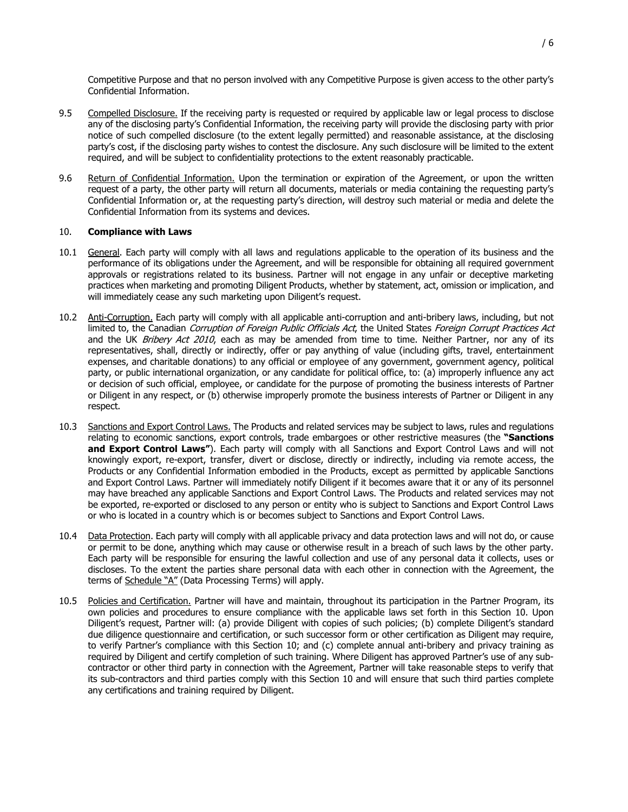Competitive Purpose and that no person involved with any Competitive Purpose is given access to the other party's Confidential Information.

- 9.5 Compelled Disclosure. If the receiving party is requested or required by applicable law or legal process to disclose any of the disclosing party's Confidential Information, the receiving party will provide the disclosing party with prior notice of such compelled disclosure (to the extent legally permitted) and reasonable assistance, at the disclosing party's cost, if the disclosing party wishes to contest the disclosure. Any such disclosure will be limited to the extent required, and will be subject to confidentiality protections to the extent reasonably practicable.
- 9.6 Return of Confidential Information. Upon the termination or expiration of the Agreement, or upon the written request of a party, the other party will return all documents, materials or media containing the requesting party's Confidential Information or, at the requesting party's direction, will destroy such material or media and delete the Confidential Information from its systems and devices.

#### 10. **Compliance with Laws**

- 10.1 General. Each party will comply with all laws and regulations applicable to the operation of its business and the performance of its obligations under the Agreement, and will be responsible for obtaining all required government approvals or registrations related to its business. Partner will not engage in any unfair or deceptive marketing practices when marketing and promoting Diligent Products, whether by statement, act, omission or implication, and will immediately cease any such marketing upon Diligent's request.
- 10.2 Anti-Corruption. Each party will comply with all applicable anti-corruption and anti-bribery laws, including, but not limited to, the Canadian Corruption of Foreign Public Officials Act, the United States Foreign Corrupt Practices Act and the UK Bribery Act 2010, each as may be amended from time to time. Neither Partner, nor any of its representatives, shall, directly or indirectly, offer or pay anything of value (including gifts, travel, entertainment expenses, and charitable donations) to any official or employee of any government, government agency, political party, or public international organization, or any candidate for political office, to: (a) improperly influence any act or decision of such official, employee, or candidate for the purpose of promoting the business interests of Partner or Diligent in any respect, or (b) otherwise improperly promote the business interests of Partner or Diligent in any respect.
- 10.3 Sanctions and Export Control Laws. The Products and related services may be subject to laws, rules and regulations relating to economic sanctions, export controls, trade embargoes or other restrictive measures (the **"Sanctions and Export Control Laws"**). Each party will comply with all Sanctions and Export Control Laws and will not knowingly export, re-export, transfer, divert or disclose, directly or indirectly, including via remote access, the Products or any Confidential Information embodied in the Products, except as permitted by applicable Sanctions and Export Control Laws. Partner will immediately notify Diligent if it becomes aware that it or any of its personnel may have breached any applicable Sanctions and Export Control Laws. The Products and related services may not be exported, re-exported or disclosed to any person or entity who is subject to Sanctions and Export Control Laws or who is located in a country which is or becomes subject to Sanctions and Export Control Laws.
- 10.4 Data Protection. Each party will comply with all applicable privacy and data protection laws and will not do, or cause or permit to be done, anything which may cause or otherwise result in a breach of such laws by the other party. Each party will be responsible for ensuring the lawful collection and use of any personal data it collects, uses or discloses. To the extent the parties share personal data with each other in connection with the Agreement, the terms of Schedule "A" (Data Processing Terms) will apply.
- 10.5 Policies and Certification. Partner will have and maintain, throughout its participation in the Partner Program, its own policies and procedures to ensure compliance with the applicable laws set forth in this Section 10. Upon Diligent's request, Partner will: (a) provide Diligent with copies of such policies; (b) complete Diligent's standard due diligence questionnaire and certification, or such successor form or other certification as Diligent may require, to verify Partner's compliance with this Section 10; and (c) complete annual anti-bribery and privacy training as required by Diligent and certify completion of such training. Where Diligent has approved Partner's use of any subcontractor or other third party in connection with the Agreement, Partner will take reasonable steps to verify that its sub-contractors and third parties comply with this Section 10 and will ensure that such third parties complete any certifications and training required by Diligent.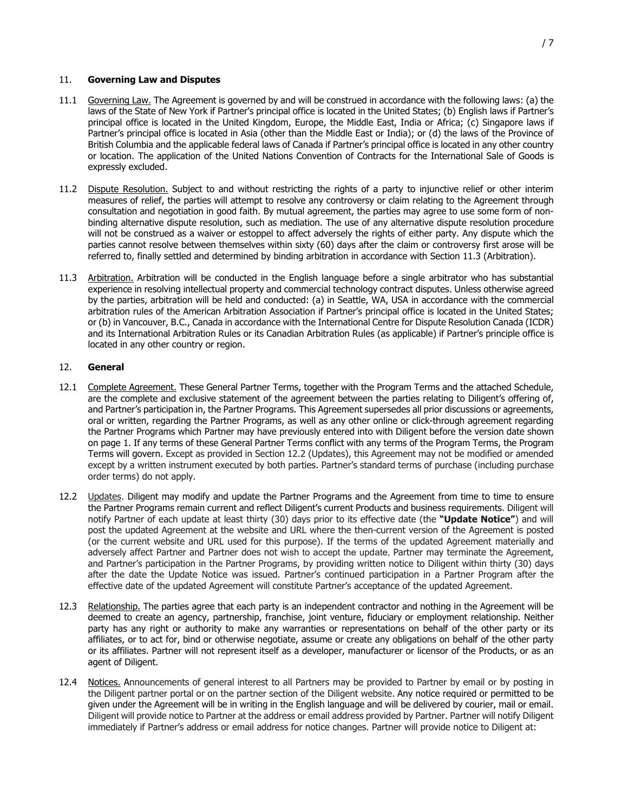- 11.1 Governing Law. The Agreement is governed by and will be construed in accordance with the following laws: (a) the laws of the State of New York if Partner's principal office is located in the United States; (b) English laws if Partner's principal office is located in the United Kingdom, Europe, the Middle East, India or Africa; (c) Singapore laws if Partner's principal office is located in Asia (other than the Middle East or India); or (d) the laws of the Province of British Columbia and the applicable federal laws of Canada if Partner's principal office is located in any other country or location. The application of the United Nations Convention of Contracts for the International Sale of Goods is expressly excluded.
- 11.2 Dispute Resolution. Subject to and without restricting the rights of a party to injunctive relief or other interim measures of relief, the parties will attempt to resolve any controversy or claim relating to the Agreement through consultation and negotiation in good faith. By mutual agreement, the parties may agree to use some form of nonbinding alternative dispute resolution, such as mediation. The use of any alternative dispute resolution procedure will not be construed as a waiver or estoppel to affect adversely the rights of either party. Any dispute which the parties cannot resolve between themselves within sixty (60) days after the claim or controversy first arose will be referred to, finally settled and determined by binding arbitration in accordance with Section 11.3 (Arbitration).
- 11.3 Arbitration. Arbitration will be conducted in the English language before a single arbitrator who has substantial experience in resolving intellectual property and commercial technology contract disputes. Unless otherwise agreed by the parties, arbitration will be held and conducted: (a) in Seattle, WA, USA in accordance with the commercial arbitration rules of the American Arbitration Association if Partner's principal office is located in the United States; or (b) in Vancouver, B.C., Canada in accordance with the International Centre for Dispute Resolution Canada (ICDR) and its International Arbitration Rules or its Canadian Arbitration Rules (as applicable) if Partner's principle office is located in any other country or region.

#### 12. **General**

- 12.1 Complete Agreement. These General Partner Terms, together with the Program Terms and the attached Schedule, are the complete and exclusive statement of the agreement between the parties relating to Diligent's offering of, and Partner's participation in, the Partner Programs. This Agreement supersedes all prior discussions or agreements, oral or written, regarding the Partner Programs, as well as any other online or click-through agreement regarding the Partner Programs which Partner may have previously entered into with Diligent before the version date shown on page 1. If any terms of these General Partner Terms conflict with any terms of the Program Terms, the Program Terms will govern. Except as provided in Section 12.2 (Updates), this Agreement may not be modified or amended except by a written instrument executed by both parties. Partner's standard terms of purchase (including purchase order terms) do not apply.
- 12.2 Updates. Diligent may modify and update the Partner Programs and the Agreement from time to time to ensure the Partner Programs remain current and reflect Diligent's current Products and business requirements. Diligent will notify Partner of each update at least thirty (30) days prior to its effective date (the **"Update Notice"**) and will post the updated Agreement at the website and URL where the then-current version of the Agreement is posted (or the current website and URL used for this purpose). If the terms of the updated Agreement materially and adversely affect Partner and Partner does not wish to accept the update, Partner may terminate the Agreement, and Partner's participation in the Partner Programs, by providing written notice to Diligent within thirty (30) days after the date the Update Notice was issued. Partner's continued participation in a Partner Program after the effective date of the updated Agreement will constitute Partner's acceptance of the updated Agreement.
- 12.3 Relationship. The parties agree that each party is an independent contractor and nothing in the Agreement will be deemed to create an agency, partnership, franchise, joint venture, fiduciary or employment relationship. Neither party has any right or authority to make any warranties or representations on behalf of the other party or its affiliates, or to act for, bind or otherwise negotiate, assume or create any obligations on behalf of the other party or its affiliates. Partner will not represent itself as a developer, manufacturer or licensor of the Products, or as an agent of Diligent.
- 12.4 Notices. Announcements of general interest to all Partners may be provided to Partner by email or by posting in the Diligent partner portal or on the partner section of the Diligent website. Any notice required or permitted to be given under the Agreement will be in writing in the English language and will be delivered by courier, mail or email. Diligent will provide notice to Partner at the address or email address provided by Partner. Partner will notify Diligent immediately if Partner's address or email address for notice changes. Partner will provide notice to Diligent at: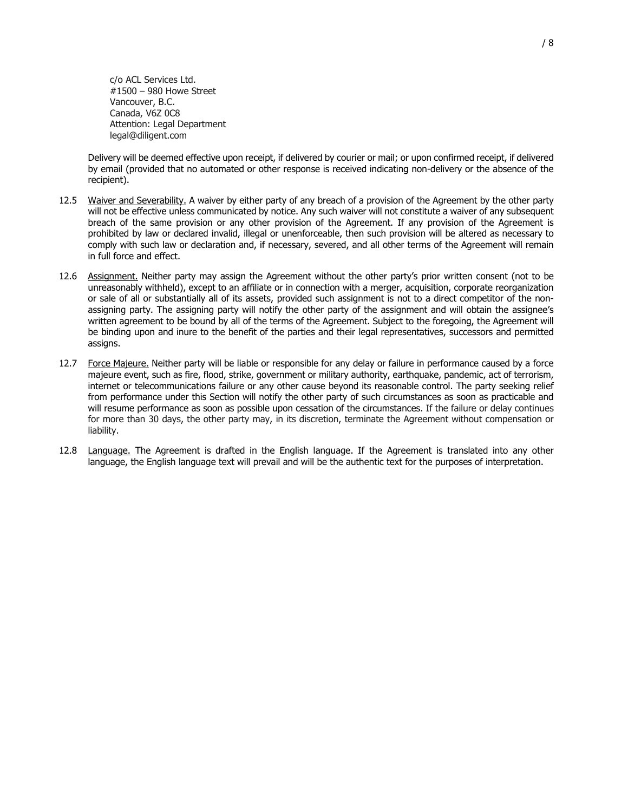c/o ACL Services Ltd. #1500 – 980 Howe Street Vancouver, B.C. Canada, V6Z 0C8 Attention: Legal Department legal@diligent.com

Delivery will be deemed effective upon receipt, if delivered by courier or mail; or upon confirmed receipt, if delivered by email (provided that no automated or other response is received indicating non-delivery or the absence of the recipient).

- 12.5 Waiver and Severability. A waiver by either party of any breach of a provision of the Agreement by the other party will not be effective unless communicated by notice. Any such waiver will not constitute a waiver of any subsequent breach of the same provision or any other provision of the Agreement. If any provision of the Agreement is prohibited by law or declared invalid, illegal or unenforceable, then such provision will be altered as necessary to comply with such law or declaration and, if necessary, severed, and all other terms of the Agreement will remain in full force and effect.
- 12.6 Assignment. Neither party may assign the Agreement without the other party's prior written consent (not to be unreasonably withheld), except to an affiliate or in connection with a merger, acquisition, corporate reorganization or sale of all or substantially all of its assets, provided such assignment is not to a direct competitor of the nonassigning party. The assigning party will notify the other party of the assignment and will obtain the assignee's written agreement to be bound by all of the terms of the Agreement. Subject to the foregoing, the Agreement will be binding upon and inure to the benefit of the parties and their legal representatives, successors and permitted assigns.
- 12.7 Force Majeure. Neither party will be liable or responsible for any delay or failure in performance caused by a force majeure event, such as fire, flood, strike, government or military authority, earthquake, pandemic, act of terrorism, internet or telecommunications failure or any other cause beyond its reasonable control. The party seeking relief from performance under this Section will notify the other party of such circumstances as soon as practicable and will resume performance as soon as possible upon cessation of the circumstances. If the failure or delay continues for more than 30 days, the other party may, in its discretion, terminate the Agreement without compensation or liability.
- 12.8 Language. The Agreement is drafted in the English language. If the Agreement is translated into any other language, the English language text will prevail and will be the authentic text for the purposes of interpretation.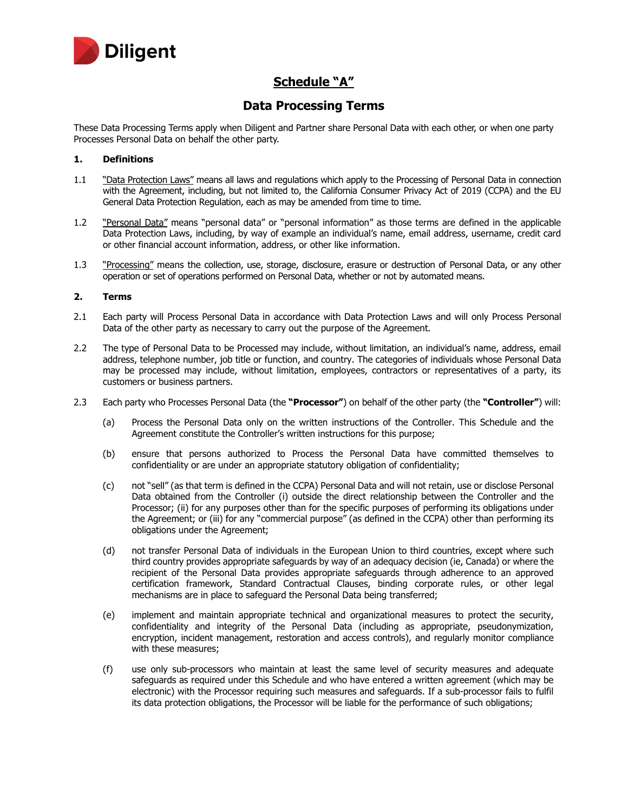

# **Schedule "A"**

# **Data Processing Terms**

These Data Processing Terms apply when Diligent and Partner share Personal Data with each other, or when one party Processes Personal Data on behalf the other party.

### **1. Definitions**

- 1.1 "Data Protection Laws" means all laws and regulations which apply to the Processing of Personal Data in connection with the Agreement, including, but not limited to, the California Consumer Privacy Act of 2019 (CCPA) and the EU General Data Protection Regulation, each as may be amended from time to time.
- 1.2 "Personal Data" means "personal data" or "personal information" as those terms are defined in the applicable Data Protection Laws, including, by way of example an individual's name, email address, username, credit card or other financial account information, address, or other like information.
- 1.3 "Processing" means the collection, use, storage, disclosure, erasure or destruction of Personal Data, or any other operation or set of operations performed on Personal Data, whether or not by automated means.

### **2. Terms**

- 2.1 Each party will Process Personal Data in accordance with Data Protection Laws and will only Process Personal Data of the other party as necessary to carry out the purpose of the Agreement.
- 2.2 The type of Personal Data to be Processed may include, without limitation, an individual's name, address, email address, telephone number, job title or function, and country. The categories of individuals whose Personal Data may be processed may include, without limitation, employees, contractors or representatives of a party, its customers or business partners.
- 2.3 Each party who Processes Personal Data (the **"Processor"**) on behalf of the other party (the **"Controller"**) will:
	- (a) Process the Personal Data only on the written instructions of the Controller. This Schedule and the Agreement constitute the Controller's written instructions for this purpose;
	- (b) ensure that persons authorized to Process the Personal Data have committed themselves to confidentiality or are under an appropriate statutory obligation of confidentiality;
	- (c) not "sell" (as that term is defined in the CCPA) Personal Data and will not retain, use or disclose Personal Data obtained from the Controller (i) outside the direct relationship between the Controller and the Processor; (ii) for any purposes other than for the specific purposes of performing its obligations under the Agreement; or (iii) for any "commercial purpose" (as defined in the CCPA) other than performing its obligations under the Agreement;
	- (d) not transfer Personal Data of individuals in the European Union to third countries, except where such third country provides appropriate safeguards by way of an adequacy decision (ie, Canada) or where the recipient of the Personal Data provides appropriate safeguards through adherence to an approved certification framework, Standard Contractual Clauses, binding corporate rules, or other legal mechanisms are in place to safeguard the Personal Data being transferred;
	- (e) implement and maintain appropriate technical and organizational measures to protect the security, confidentiality and integrity of the Personal Data (including as appropriate, pseudonymization, encryption, incident management, restoration and access controls), and regularly monitor compliance with these measures;
	- (f) use only sub-processors who maintain at least the same level of security measures and adequate safeguards as required under this Schedule and who have entered a written agreement (which may be electronic) with the Processor requiring such measures and safeguards. If a sub-processor fails to fulfil its data protection obligations, the Processor will be liable for the performance of such obligations;